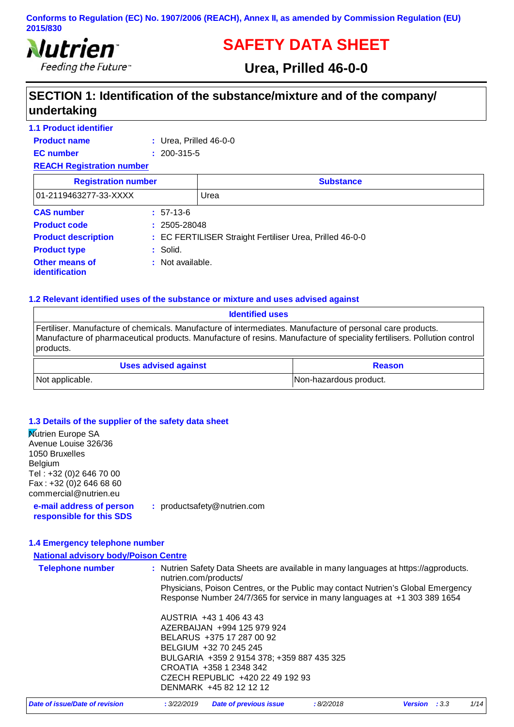

# **SAFETY DATA SHEET**

# **Urea, Prilled 46-0-0**

# **SECTION 1: Identification of the substance/mixture and of the company/ undertaking**

| <b>1.1 Product identifier</b>           |                             |                                                          |  |
|-----------------------------------------|-----------------------------|----------------------------------------------------------|--|
| <b>Product name</b>                     | $:$ Urea, Prilled 46-0-0    |                                                          |  |
| <b>EC</b> number                        | $: 200 - 315 - 5$           |                                                          |  |
| <b>REACH Registration number</b>        |                             |                                                          |  |
| <b>Registration number</b>              |                             | <b>Substance</b>                                         |  |
| 01-2119463277-33-XXXX                   |                             | Urea                                                     |  |
| <b>CAS number</b>                       | $: 57-13-6$                 |                                                          |  |
| <b>Product code</b>                     | $: 2505 - 28048$            |                                                          |  |
| <b>Product description</b>              |                             | : EC FERTILISER Straight Fertiliser Urea, Prilled 46-0-0 |  |
| <b>Product type</b>                     | : Solid.                    |                                                          |  |
| Other means of<br><b>identification</b> | $\therefore$ Not available. |                                                          |  |

#### **1.2 Relevant identified uses of the substance or mixture and uses advised against**

| <b>Identified uses</b>                                                                                                                                                                                                                             |                        |  |
|----------------------------------------------------------------------------------------------------------------------------------------------------------------------------------------------------------------------------------------------------|------------------------|--|
| Fertiliser. Manufacture of chemicals. Manufacture of intermediates. Manufacture of personal care products.<br>Manufacture of pharmaceutical products. Manufacture of resins. Manufacture of speciality fertilisers. Pollution control<br>products. |                        |  |
| <b>Uses advised against</b>                                                                                                                                                                                                                        | <b>Reason</b>          |  |
| Not applicable.                                                                                                                                                                                                                                    | Non-hazardous product. |  |

#### **1.3 Details of the supplier of the safety data sheet**

| <b>Nutrien Europe SA</b><br>Avenue Louise 326/36     |                                                                                                                                                               |
|------------------------------------------------------|---------------------------------------------------------------------------------------------------------------------------------------------------------------|
| 1050 Bruxelles                                       |                                                                                                                                                               |
| Belgium                                              |                                                                                                                                                               |
| Tel: +32 (0) 2 646 70 00                             |                                                                                                                                                               |
| Fax: +32 (0) 2 646 68 60                             |                                                                                                                                                               |
| commercial@nutrien.eu                                |                                                                                                                                                               |
| e-mail address of person<br>responsible for this SDS | : productsafety@nutrien.com                                                                                                                                   |
| 1.4 Emergency telephone number                       |                                                                                                                                                               |
| <b>National advisory body/Poison Centre</b>          |                                                                                                                                                               |
| <b>Telephone number</b>                              | : Nutrien Safety Data Sheets are available in many languages at https://agproducts.<br>nutrien.com/products/                                                  |
|                                                      | Physicians, Poison Centres, or the Public may contact Nutrien's Global Emergency<br>Response Number 24/7/365 for service in many languages at +1 303 389 1654 |
|                                                      | AUSTRIA +43 1 406 43 43                                                                                                                                       |
|                                                      | AZERBAIJAN +994 125 979 924                                                                                                                                   |
|                                                      | BELARUS +375 17 287 00 92                                                                                                                                     |
|                                                      | BELGIUM +32 70 245 245                                                                                                                                        |
|                                                      | BULGARIA +359 2 9154 378; +359 887 435 325                                                                                                                    |
|                                                      | CROATIA +358 1 2348 342                                                                                                                                       |
|                                                      | CZECH REPUBLIC +420 22 49 192 93<br>DENMARK +45 82 12 12 12                                                                                                   |
|                                                      |                                                                                                                                                               |

| Date of issue/Date of revision | : 3/22/2019 Date of previous issue | : 8/2/2018 | <b>Version</b> : 3.3 | 1/14 |
|--------------------------------|------------------------------------|------------|----------------------|------|
|--------------------------------|------------------------------------|------------|----------------------|------|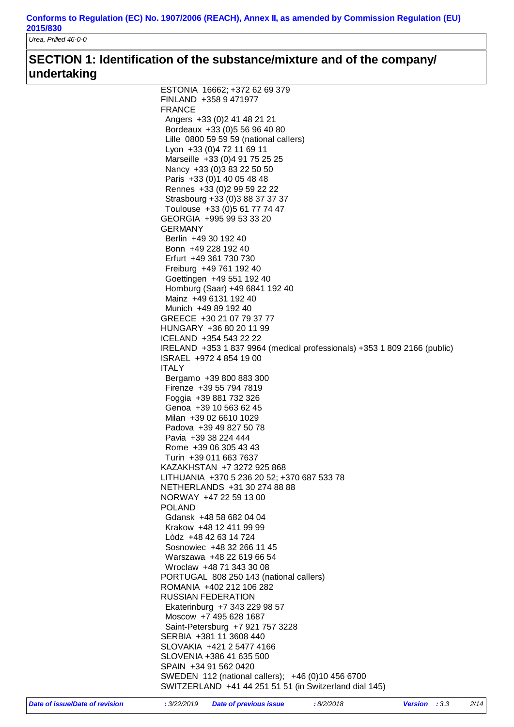*Urea, Prilled 46-0-0*

# **SECTION 1: Identification of the substance/mixture and of the company/ undertaking**

| ESTONIA 16662; +372 62 69 379                                             |
|---------------------------------------------------------------------------|
| FINLAND +358 9 471977                                                     |
| <b>FRANCE</b>                                                             |
| Angers +33 (0) 2 41 48 21 21                                              |
| Bordeaux +33 (0) 5 56 96 40 80                                            |
| Lille 0800 59 59 59 (national callers)                                    |
| Lyon +33 (0) 4 72 11 69 11                                                |
| Marseille +33 (0)4 91 75 25 25                                            |
| Nancy +33 (0) 3 83 22 50 50                                               |
| Paris +33 (0) 1 40 05 48 48                                               |
| Rennes +33 (0) 2 99 59 22 22                                              |
| Strasbourg +33 (0)3 88 37 37 37                                           |
| Toulouse +33 (0)5 61 77 74 47                                             |
| GEORGIA +995 99 53 33 20                                                  |
| <b>GERMANY</b>                                                            |
| Berlin +49 30 192 40                                                      |
| Bonn +49 228 192 40                                                       |
| Erfurt +49 361 730 730                                                    |
| Freiburg +49 761 192 40                                                   |
| Goettingen +49 551 192 40                                                 |
| Homburg (Saar) +49 6841 192 40                                            |
| Mainz +49 6131 192 40                                                     |
| Munich +49 89 192 40                                                      |
| GREECE +30 21 07 79 37 77                                                 |
| HUNGARY +36 80 20 11 99                                                   |
| ICELAND +354 543 22 22                                                    |
| IRELAND +353 1 837 9964 (medical professionals) +353 1 809 2166 (public)  |
| ISRAEL +972 4 854 19 00                                                   |
| <b>ITALY</b>                                                              |
| Bergamo +39 800 883 300                                                   |
| Firenze +39 55 794 7819                                                   |
| Foggia +39 881 732 326                                                    |
| Genoa +39 10 563 62 45                                                    |
| Milan +39 02 6610 1029                                                    |
| Padova +39 49 827 50 78                                                   |
| Pavia +39 38 224 444                                                      |
|                                                                           |
| Rome +39 06 305 43 43                                                     |
| Turin +39 011 663 7637                                                    |
| KAZAKHSTAN +7 3272 925 868<br>LITHUANIA +370 5 236 20 52; +370 687 533 78 |
|                                                                           |
| NETHERLANDS +31 30 274 88 88                                              |
| NORWAY +47 22 59 13 00                                                    |
| <b>POLAND</b>                                                             |
| Gdansk +48 58 682 04 04                                                   |
| Krakow +48 12 411 99 99                                                   |
| Lòdz +48 42 63 14 724                                                     |
| Sosnowiec +48 32 266 11 45                                                |
| Warszawa +48 22 619 66 54                                                 |
| Wroclaw +48 71 343 30 08                                                  |
| PORTUGAL 808 250 143 (national callers)                                   |
| ROMANIA +402 212 106 282                                                  |
| <b>RUSSIAN FEDERATION</b>                                                 |
| Ekaterinburg +7 343 229 98 57                                             |
| Moscow +7 495 628 1687                                                    |
| Saint-Petersburg +7 921 757 3228                                          |
| SERBIA +381 11 3608 440                                                   |
| SLOVAKIA +421 2 5477 4166                                                 |
| SLOVENIA +386 41 635 500                                                  |
| SPAIN +34 91 562 0420                                                     |
| SWEDEN 112 (national callers); +46 (0)10 456 6700                         |
| SWITZERLAND +41 44 251 51 51 (in Switzerland dial 145)                    |
|                                                                           |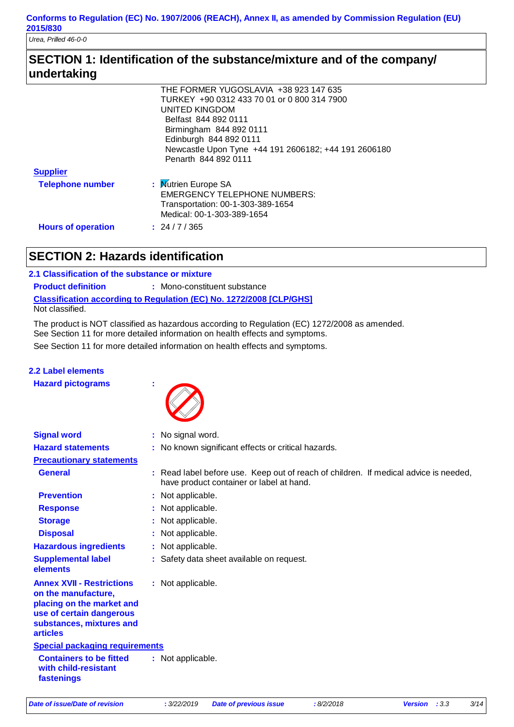*Urea, Prilled 46-0-0*

# **SECTION 1: Identification of the substance/mixture and of the company/ undertaking**

|                           | THE FORMER YUGOSLAVIA +38 923 147 635                |
|---------------------------|------------------------------------------------------|
|                           | TURKEY +90 0312 433 70 01 or 0 800 314 7900          |
|                           | UNITED KINGDOM                                       |
|                           | Belfast 844 892 0111                                 |
|                           | Birmingham 844 892 0111                              |
|                           | Edinburgh 844 892 0111                               |
|                           | Newcastle Upon Tyne +44 191 2606182; +44 191 2606180 |
|                           | Penarth 844 892 0111                                 |
| <b>Supplier</b>           |                                                      |
| <b>Telephone number</b>   | : Mutrien Europe SA                                  |
|                           | <b>EMERGENCY TELEPHONE NUMBERS:</b>                  |
|                           | Transportation: 00-1-303-389-1654                    |
|                           | Medical: 00-1-303-389-1654                           |
| <b>Hours of operation</b> | : 24/7/365                                           |

# **SECTION 2: Hazards identification**

#### **2.1 Classification of the substance or mixture**

**Classification according to Regulation (EC) No. 1272/2008 [CLP/GHS] Product definition : Mono-constituent substance** Not classified.

See Section 11 for more detailed information on health effects and symptoms. The product is NOT classified as hazardous according to Regulation (EC) 1272/2008 as amended. See Section 11 for more detailed information on health effects and symptoms.

### **2.2 Label elements**

**Hazard pictograms :**



| <b>Signal word</b>                                                                                                                                              | : No signal word.                                                                                                                |
|-----------------------------------------------------------------------------------------------------------------------------------------------------------------|----------------------------------------------------------------------------------------------------------------------------------|
| <b>Hazard statements</b>                                                                                                                                        | : No known significant effects or critical hazards.                                                                              |
| <b>Precautionary statements</b>                                                                                                                                 |                                                                                                                                  |
| <b>General</b>                                                                                                                                                  | : Read label before use. Keep out of reach of children. If medical advice is needed,<br>have product container or label at hand. |
| <b>Prevention</b>                                                                                                                                               | : Not applicable.                                                                                                                |
| <b>Response</b>                                                                                                                                                 | : Not applicable.                                                                                                                |
| <b>Storage</b>                                                                                                                                                  | : Not applicable.                                                                                                                |
| <b>Disposal</b>                                                                                                                                                 | : Not applicable.                                                                                                                |
| <b>Hazardous ingredients</b>                                                                                                                                    | : Not applicable.                                                                                                                |
| <b>Supplemental label</b><br>elements                                                                                                                           | : Safety data sheet available on request.                                                                                        |
| <b>Annex XVII - Restrictions</b><br>on the manufacture,<br>placing on the market and<br>use of certain dangerous<br>substances, mixtures and<br><b>articles</b> | : Not applicable.                                                                                                                |
| <b>Special packaging requirements</b>                                                                                                                           |                                                                                                                                  |
| <b>Containers to be fitted</b><br>with child-resistant<br>fastenings                                                                                            | : Not applicable.                                                                                                                |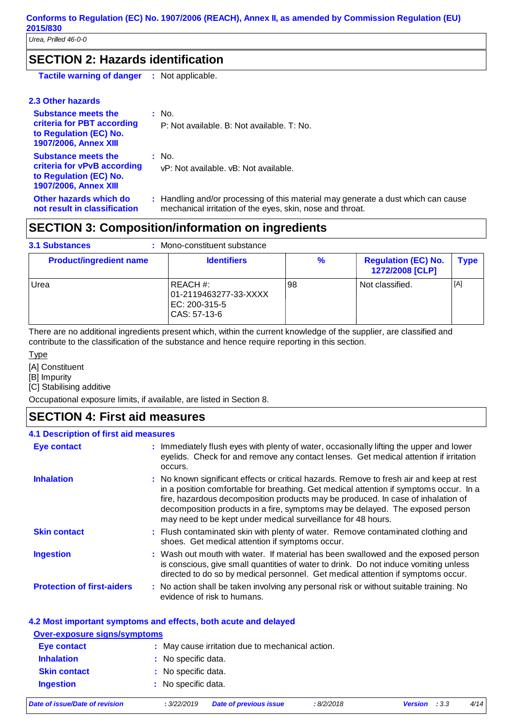# **SECTION 2: Hazards identification**

**Tactile warning of danger :** Not applicable.

#### **2.3 Other hazards**

| <b>Substance meets the</b><br>criteria for PBT according<br>to Regulation (EC) No.<br><b>1907/2006, Annex XIII</b>  | : No.<br>P: Not available. B: Not available. T: No.                                                                                            |
|---------------------------------------------------------------------------------------------------------------------|------------------------------------------------------------------------------------------------------------------------------------------------|
| <b>Substance meets the</b><br>criteria for vPvB according<br>to Regulation (EC) No.<br><b>1907/2006, Annex XIII</b> | : No.<br>vP: Not available, vB: Not available.                                                                                                 |
| Other hazards which do<br>not result in classification                                                              | : Handling and/or processing of this material may generate a dust which can cause<br>mechanical irritation of the eyes, skin, nose and throat. |

# **SECTION 3: Composition/information on ingredients**

| <b>3.1 Substances</b><br>Mono-constituent substance |                                                                    |               |                                               |             |
|-----------------------------------------------------|--------------------------------------------------------------------|---------------|-----------------------------------------------|-------------|
| <b>Product/ingredient name</b>                      | <b>Identifiers</b>                                                 | $\frac{9}{6}$ | <b>Regulation (EC) No.</b><br>1272/2008 [CLP] | <b>Type</b> |
| Urea                                                | REACH #:<br>01-2119463277-33-XXXX<br>EC: 200-315-5<br>CAS: 57-13-6 | 98            | Not classified.                               | [A]         |

There are no additional ingredients present which, within the current knowledge of the supplier, are classified and contribute to the classification of the substance and hence require reporting in this section.

Type

[A] Constituent

[B] Impurity

[C] Stabilising additive

Occupational exposure limits, if available, are listed in Section 8.

## **SECTION 4: First aid measures**

#### **4.1 Description of first aid measures**

| <b>Eye contact</b>                | : Immediately flush eyes with plenty of water, occasionally lifting the upper and lower<br>eyelids. Check for and remove any contact lenses. Get medical attention if irritation<br>occurs.                                                                                                                                                                                                                             |
|-----------------------------------|-------------------------------------------------------------------------------------------------------------------------------------------------------------------------------------------------------------------------------------------------------------------------------------------------------------------------------------------------------------------------------------------------------------------------|
| <b>Inhalation</b>                 | : No known significant effects or critical hazards. Remove to fresh air and keep at rest<br>in a position comfortable for breathing. Get medical attention if symptoms occur. In a<br>fire, hazardous decomposition products may be produced. In case of inhalation of<br>decomposition products in a fire, symptoms may be delayed. The exposed person<br>may need to be kept under medical surveillance for 48 hours. |
| <b>Skin contact</b>               | : Flush contaminated skin with plenty of water. Remove contaminated clothing and<br>shoes. Get medical attention if symptoms occur.                                                                                                                                                                                                                                                                                     |
| <b>Ingestion</b>                  | : Wash out mouth with water. If material has been swallowed and the exposed person<br>is conscious, give small quantities of water to drink. Do not induce vomiting unless<br>directed to do so by medical personnel. Get medical attention if symptoms occur.                                                                                                                                                          |
| <b>Protection of first-aiders</b> | : No action shall be taken involving any personal risk or without suitable training. No<br>evidence of risk to humans.                                                                                                                                                                                                                                                                                                  |

#### **4.2 Most important symptoms and effects, both acute and delayed**

#### **Over-exposure signs/symptoms Skin contact Ingestion Inhalation** : No specific data. : No specific data. : No specific data. **Eye contact :** May cause irritation due to mechanical action.

|  |  |  | Date of issue/Date of revision |
|--|--|--|--------------------------------|
|--|--|--|--------------------------------|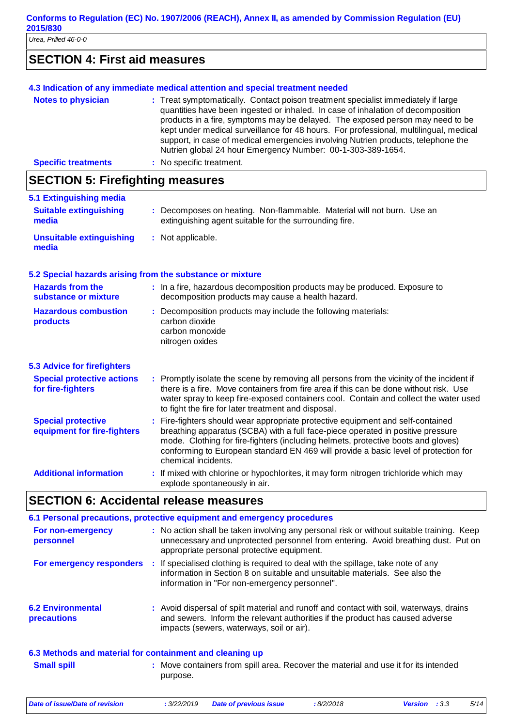# **SECTION 4: First aid measures**

|                                  | 4.3 Indication of any immediate medical attention and special treatment needed                                                                                                                                                                                                                                                                                                                                                                                                                       |  |
|----------------------------------|------------------------------------------------------------------------------------------------------------------------------------------------------------------------------------------------------------------------------------------------------------------------------------------------------------------------------------------------------------------------------------------------------------------------------------------------------------------------------------------------------|--|
| <b>Notes to physician</b>        | : Treat symptomatically. Contact poison treatment specialist immediately if large<br>quantities have been ingested or inhaled. In case of inhalation of decomposition<br>products in a fire, symptoms may be delayed. The exposed person may need to be<br>kept under medical surveillance for 48 hours. For professional, multilingual, medical<br>support, in case of medical emergencies involving Nutrien products, telephone the<br>Nutrien global 24 hour Emergency Number: 00-1-303-389-1654. |  |
| <b>Specific treatments</b>       | : No specific treatment.                                                                                                                                                                                                                                                                                                                                                                                                                                                                             |  |
| CECTION E. Firefiabling measures |                                                                                                                                                                                                                                                                                                                                                                                                                                                                                                      |  |

### **SECTION 5: Firefighting measures**

| 020 1108 0. 1 1108 98889 111000 11 00                     |                                                                                                                                                                                                                                                                                                                                                                          |
|-----------------------------------------------------------|--------------------------------------------------------------------------------------------------------------------------------------------------------------------------------------------------------------------------------------------------------------------------------------------------------------------------------------------------------------------------|
| 5.1 Extinguishing media                                   |                                                                                                                                                                                                                                                                                                                                                                          |
| <b>Suitable extinguishing</b><br>media                    | : Decomposes on heating. Non-flammable. Material will not burn. Use an<br>extinguishing agent suitable for the surrounding fire.                                                                                                                                                                                                                                         |
| <b>Unsuitable extinguishing</b><br>media                  | : Not applicable.                                                                                                                                                                                                                                                                                                                                                        |
| 5.2 Special hazards arising from the substance or mixture |                                                                                                                                                                                                                                                                                                                                                                          |
| <b>Hazards from the</b><br>substance or mixture           | : In a fire, hazardous decomposition products may be produced. Exposure to<br>decomposition products may cause a health hazard.                                                                                                                                                                                                                                          |
| <b>Hazardous combustion</b><br>products                   | Decomposition products may include the following materials:<br>carbon dioxide<br>carbon monoxide<br>nitrogen oxides                                                                                                                                                                                                                                                      |
| <b>5.3 Advice for firefighters</b>                        |                                                                                                                                                                                                                                                                                                                                                                          |
| <b>Special protective actions</b><br>for fire-fighters    | Promptly isolate the scene by removing all persons from the vicinity of the incident if<br>÷.<br>there is a fire. Move containers from fire area if this can be done without risk. Use<br>water spray to keep fire-exposed containers cool. Contain and collect the water used<br>to fight the fire for later treatment and disposal.                                    |
| <b>Special protective</b><br>equipment for fire-fighters  | Fire-fighters should wear appropriate protective equipment and self-contained<br>÷<br>breathing apparatus (SCBA) with a full face-piece operated in positive pressure<br>mode. Clothing for fire-fighters (including helmets, protective boots and gloves)<br>conforming to European standard EN 469 will provide a basic level of protection for<br>chemical incidents. |
| <b>Additional information</b>                             | : If mixed with chlorine or hypochlorites, it may form nitrogen trichloride which may<br>explode spontaneously in air.                                                                                                                                                                                                                                                   |
|                                                           | <b>SECTION 6: Accidental release measures</b>                                                                                                                                                                                                                                                                                                                            |
|                                                           | 6.1 Personal precautions, protective equipment and emergency procedures                                                                                                                                                                                                                                                                                                  |
| For non-emergency                                         | : No action shall be taken involving any personal risk or without suitable training. Keep                                                                                                                                                                                                                                                                                |

| <b>precautions</b>                                       | and sewers. Inform the relevant authorities if the product has caused adverse<br>impacts (sewers, waterways, soil or air). |
|----------------------------------------------------------|----------------------------------------------------------------------------------------------------------------------------|
| 6.3 Methods and material for containment and cleaning up | : Move containers from spill area. Recover the material and use it for its intended                                        |
| <b>Small spill</b>                                       | purpose.                                                                                                                   |

appropriate personal protective equipment.

information in "For non-emergency personnel".

*Date of issue/Date of revision* **:** *3/22/2019 Date of previous issue : 8/2/2018 Version : 3.3 5/14*

**6.2 Environmental** 

**For emergency responders :**

**personnel**

Avoid dispersal of spilt material and runoff and contact with soil, waterways, drains **:**

If specialised clothing is required to deal with the spillage, take note of any information in Section 8 on suitable and unsuitable materials. See also the

unnecessary and unprotected personnel from entering. Avoid breathing dust. Put on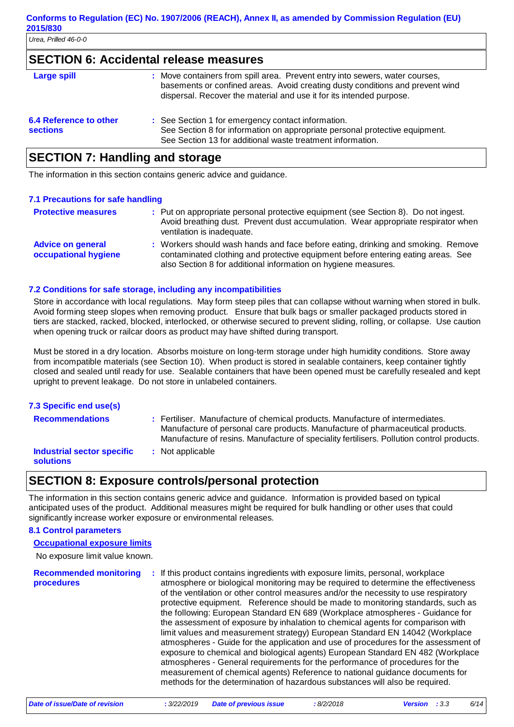### **SECTION 6: Accidental release measures**

| <b>Large spill</b>                        | : Move containers from spill area. Prevent entry into sewers, water courses,<br>basements or confined areas. Avoid creating dusty conditions and prevent wind<br>dispersal. Recover the material and use it for its intended purpose. |
|-------------------------------------------|---------------------------------------------------------------------------------------------------------------------------------------------------------------------------------------------------------------------------------------|
| 6.4 Reference to other<br><b>sections</b> | : See Section 1 for emergency contact information.<br>See Section 8 for information on appropriate personal protective equipment.<br>See Section 13 for additional waste treatment information.                                       |

## **SECTION 7: Handling and storage**

The information in this section contains generic advice and guidance.

#### **7.1 Precautions for safe handling**

| <b>Protective measures</b>                       | : Put on appropriate personal protective equipment (see Section 8). Do not ingest.<br>Avoid breathing dust. Prevent dust accumulation. Wear appropriate respirator when<br>ventilation is inadequate.                                  |
|--------------------------------------------------|----------------------------------------------------------------------------------------------------------------------------------------------------------------------------------------------------------------------------------------|
| <b>Advice on general</b><br>occupational hygiene | : Workers should wash hands and face before eating, drinking and smoking. Remove<br>contaminated clothing and protective equipment before entering eating areas. See<br>also Section 8 for additional information on hygiene measures. |

#### **7.2 Conditions for safe storage, including any incompatibilities**

Store in accordance with local regulations. May form steep piles that can collapse without warning when stored in bulk. Avoid forming steep slopes when removing product. Ensure that bulk bags or smaller packaged products stored in tiers are stacked, racked, blocked, interlocked, or otherwise secured to prevent sliding, rolling, or collapse. Use caution when opening truck or railcar doors as product may have shifted during transport.

Must be stored in a dry location. Absorbs moisture on long-term storage under high humidity conditions. Store away from incompatible materials (see Section 10). When product is stored in sealable containers, keep container tightly closed and sealed until ready for use. Sealable containers that have been opened must be carefully resealed and kept upright to prevent leakage. Do not store in unlabeled containers.

| 7.3 Specific end use(s)                        |                                                                                                                                                                                                                                                              |
|------------------------------------------------|--------------------------------------------------------------------------------------------------------------------------------------------------------------------------------------------------------------------------------------------------------------|
| <b>Recommendations</b>                         | : Fertiliser. Manufacture of chemical products. Manufacture of intermediates.<br>Manufacture of personal care products. Manufacture of pharmaceutical products.<br>Manufacture of resins. Manufacture of speciality fertilisers. Pollution control products. |
| Industrial sector specific<br><b>solutions</b> | : Not applicable                                                                                                                                                                                                                                             |

### **SECTION 8: Exposure controls/personal protection**

The information in this section contains generic advice and guidance. Information is provided based on typical anticipated uses of the product. Additional measures might be required for bulk handling or other uses that could significantly increase worker exposure or environmental releases.

#### **8.1 Control parameters**

#### **Occupational exposure limits**

No exposure limit value known.

**Recommended monitoring procedures :** If this product contains ingredients with exposure limits, personal, workplace atmosphere or biological monitoring may be required to determine the effectiveness of the ventilation or other control measures and/or the necessity to use respiratory protective equipment. Reference should be made to monitoring standards, such as the following: European Standard EN 689 (Workplace atmospheres - Guidance for the assessment of exposure by inhalation to chemical agents for comparison with limit values and measurement strategy) European Standard EN 14042 (Workplace atmospheres - Guide for the application and use of procedures for the assessment of exposure to chemical and biological agents) European Standard EN 482 (Workplace atmospheres - General requirements for the performance of procedures for the measurement of chemical agents) Reference to national guidance documents for methods for the determination of hazardous substances will also be required.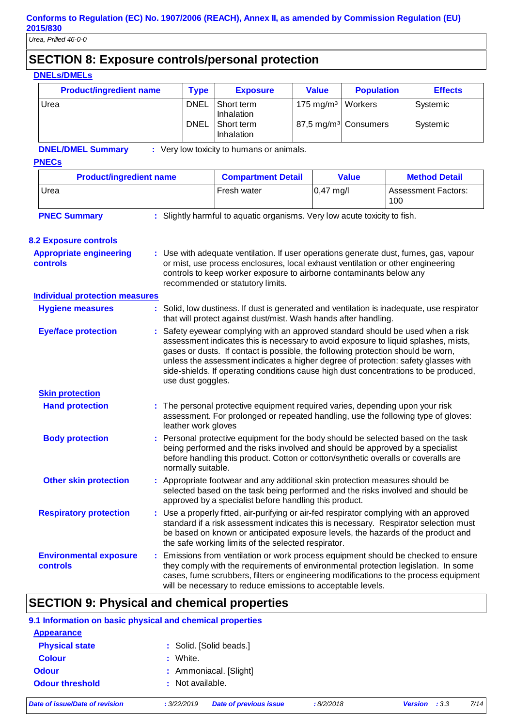# **SECTION 8: Exposure controls/personal protection**

| <b>DNELs/DMELs</b>                                |                                                                                                                                                                                                                                                 |                                                                                                                                                                                                                                                                                                                                                                                                                                                               |                                                                                                                                                                                                                                                                                                                            |                         |                                  |                |                            |
|---------------------------------------------------|-------------------------------------------------------------------------------------------------------------------------------------------------------------------------------------------------------------------------------------------------|---------------------------------------------------------------------------------------------------------------------------------------------------------------------------------------------------------------------------------------------------------------------------------------------------------------------------------------------------------------------------------------------------------------------------------------------------------------|----------------------------------------------------------------------------------------------------------------------------------------------------------------------------------------------------------------------------------------------------------------------------------------------------------------------------|-------------------------|----------------------------------|----------------|----------------------------|
| <b>Product/ingredient name</b>                    | <b>Type</b>                                                                                                                                                                                                                                     | <b>Exposure</b>                                                                                                                                                                                                                                                                                                                                                                                                                                               | <b>Value</b>                                                                                                                                                                                                                                                                                                               | <b>Population</b>       |                                  | <b>Effects</b> |                            |
| Urea                                              |                                                                                                                                                                                                                                                 | <b>DNEL</b>                                                                                                                                                                                                                                                                                                                                                                                                                                                   | Short term<br>Inhalation                                                                                                                                                                                                                                                                                                   | $175$ mg/m <sup>3</sup> | Workers                          |                | Systemic                   |
|                                                   |                                                                                                                                                                                                                                                 | <b>DNEL</b>                                                                                                                                                                                                                                                                                                                                                                                                                                                   | Short term<br>Inhalation                                                                                                                                                                                                                                                                                                   |                         | 87,5 mg/m <sup>3</sup> Consumers |                | Systemic                   |
| <b>DNEL/DMEL Summary</b>                          |                                                                                                                                                                                                                                                 |                                                                                                                                                                                                                                                                                                                                                                                                                                                               | : Very low toxicity to humans or animals.                                                                                                                                                                                                                                                                                  |                         |                                  |                |                            |
| <b>PNECs</b>                                      |                                                                                                                                                                                                                                                 |                                                                                                                                                                                                                                                                                                                                                                                                                                                               |                                                                                                                                                                                                                                                                                                                            |                         |                                  |                |                            |
| <b>Product/ingredient name</b>                    |                                                                                                                                                                                                                                                 |                                                                                                                                                                                                                                                                                                                                                                                                                                                               | <b>Compartment Detail</b>                                                                                                                                                                                                                                                                                                  |                         | <b>Value</b>                     |                | <b>Method Detail</b>       |
| Urea                                              |                                                                                                                                                                                                                                                 |                                                                                                                                                                                                                                                                                                                                                                                                                                                               | Fresh water                                                                                                                                                                                                                                                                                                                | $0,47$ mg/l             |                                  | 100            | <b>Assessment Factors:</b> |
| <b>PNEC Summary</b>                               |                                                                                                                                                                                                                                                 |                                                                                                                                                                                                                                                                                                                                                                                                                                                               | : Slightly harmful to aquatic organisms. Very low acute toxicity to fish.                                                                                                                                                                                                                                                  |                         |                                  |                |                            |
| <b>8.2 Exposure controls</b>                      |                                                                                                                                                                                                                                                 |                                                                                                                                                                                                                                                                                                                                                                                                                                                               |                                                                                                                                                                                                                                                                                                                            |                         |                                  |                |                            |
| <b>Appropriate engineering</b><br><b>controls</b> | : Use with adequate ventilation. If user operations generate dust, fumes, gas, vapour<br>or mist, use process enclosures, local exhaust ventilation or other engineering<br>controls to keep worker exposure to airborne contaminants below any |                                                                                                                                                                                                                                                                                                                                                                                                                                                               |                                                                                                                                                                                                                                                                                                                            |                         |                                  |                |                            |
| <b>Individual protection measures</b>             |                                                                                                                                                                                                                                                 |                                                                                                                                                                                                                                                                                                                                                                                                                                                               | recommended or statutory limits.                                                                                                                                                                                                                                                                                           |                         |                                  |                |                            |
| <b>Hygiene measures</b>                           | : Solid, low dustiness. If dust is generated and ventilation is inadequate, use respirator<br>that will protect against dust/mist. Wash hands after handling.                                                                                   |                                                                                                                                                                                                                                                                                                                                                                                                                                                               |                                                                                                                                                                                                                                                                                                                            |                         |                                  |                |                            |
| <b>Eye/face protection</b>                        |                                                                                                                                                                                                                                                 | : Safety eyewear complying with an approved standard should be used when a risk<br>assessment indicates this is necessary to avoid exposure to liquid splashes, mists,<br>gases or dusts. If contact is possible, the following protection should be worn,<br>unless the assessment indicates a higher degree of protection: safety glasses with<br>side-shields. If operating conditions cause high dust concentrations to be produced,<br>use dust goggles. |                                                                                                                                                                                                                                                                                                                            |                         |                                  |                |                            |
| <b>Skin protection</b>                            |                                                                                                                                                                                                                                                 |                                                                                                                                                                                                                                                                                                                                                                                                                                                               |                                                                                                                                                                                                                                                                                                                            |                         |                                  |                |                            |
| <b>Hand protection</b>                            |                                                                                                                                                                                                                                                 | : The personal protective equipment required varies, depending upon your risk<br>assessment. For prolonged or repeated handling, use the following type of gloves:<br>leather work gloves                                                                                                                                                                                                                                                                     |                                                                                                                                                                                                                                                                                                                            |                         |                                  |                |                            |
| <b>Body protection</b>                            |                                                                                                                                                                                                                                                 | Personal protective equipment for the body should be selected based on the task<br>being performed and the risks involved and should be approved by a specialist<br>before handling this product. Cotton or cotton/synthetic overalls or coveralls are<br>normally suitable.                                                                                                                                                                                  |                                                                                                                                                                                                                                                                                                                            |                         |                                  |                |                            |
| <b>Other skin protection</b>                      |                                                                                                                                                                                                                                                 | : Appropriate footwear and any additional skin protection measures should be<br>selected based on the task being performed and the risks involved and should be<br>approved by a specialist before handling this product.                                                                                                                                                                                                                                     |                                                                                                                                                                                                                                                                                                                            |                         |                                  |                |                            |
| <b>Respiratory protection</b>                     |                                                                                                                                                                                                                                                 |                                                                                                                                                                                                                                                                                                                                                                                                                                                               | : Use a properly fitted, air-purifying or air-fed respirator complying with an approved<br>standard if a risk assessment indicates this is necessary. Respirator selection must<br>be based on known or anticipated exposure levels, the hazards of the product and<br>the safe working limits of the selected respirator. |                         |                                  |                |                            |

**Environmental exposure controls :** Emissions from ventilation or work process equipment should be checked to ensure they comply with the requirements of environmental protection legislation. In some cases, fume scrubbers, filters or engineering modifications to the process equipment will be necessary to reduce emissions to acceptable levels.

# **SECTION 9: Physical and chemical properties**

|                                | 9.1 Information on basic physical and chemical properties |           |                         |      |
|--------------------------------|-----------------------------------------------------------|-----------|-------------------------|------|
| <b>Appearance</b>              |                                                           |           |                         |      |
| <b>Physical state</b>          | : Solid. [Solid beads.]                                   |           |                         |      |
| <b>Colour</b>                  | : White.                                                  |           |                         |      |
| <b>Odour</b>                   | : Ammoniacal. [Slight]                                    |           |                         |      |
| <b>Odour threshold</b>         | : Not available.                                          |           |                         |      |
| Date of issue/Date of revision | <b>Date of previous issue</b><br>: 3/22/2019              | :8/2/2018 | : 3.3<br><b>Version</b> | 7/14 |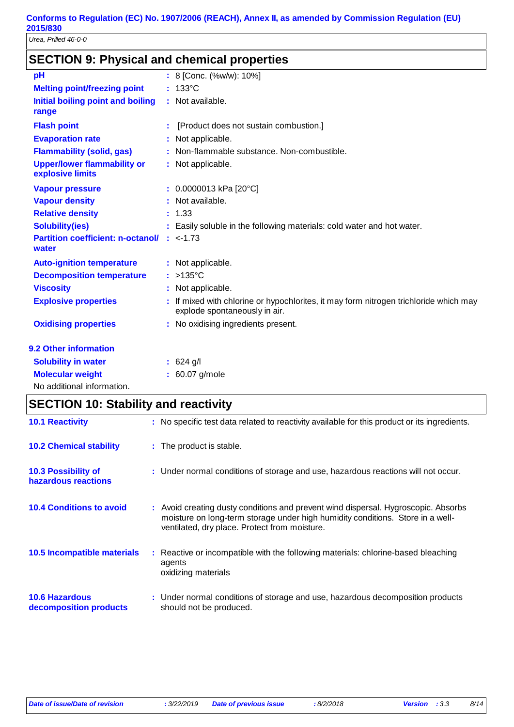*Urea, Prilled 46-0-0*

# **SECTION 9: Physical and chemical properties**

| pH                                                            | : 8 [Conc. (%w/w): 10%]                                                                                              |
|---------------------------------------------------------------|----------------------------------------------------------------------------------------------------------------------|
| <b>Melting point/freezing point</b>                           | $: 133^{\circ}$ C                                                                                                    |
| <b>Initial boiling point and boiling</b><br>range             | : Not available.                                                                                                     |
| <b>Flash point</b>                                            | [Product does not sustain combustion.]                                                                               |
| <b>Evaporation rate</b>                                       | : Not applicable.                                                                                                    |
| <b>Flammability (solid, gas)</b>                              | : Non-flammable substance. Non-combustible.                                                                          |
| <b>Upper/lower flammability or</b><br>explosive limits        | : Not applicable.                                                                                                    |
| <b>Vapour pressure</b>                                        | $: 0.0000013$ kPa [20°C]                                                                                             |
| <b>Vapour density</b>                                         | : Not available.                                                                                                     |
| <b>Relative density</b>                                       | : 1.33                                                                                                               |
| <b>Solubility(ies)</b>                                        | : Easily soluble in the following materials: cold water and hot water.                                               |
| <b>Partition coefficient: n-octanol/ : &lt;-1.73</b><br>water |                                                                                                                      |
| <b>Auto-ignition temperature</b>                              | : Not applicable.                                                                                                    |
| <b>Decomposition temperature</b>                              | $: >135^{\circ}$ C                                                                                                   |
| <b>Viscosity</b>                                              | : Not applicable.                                                                                                    |
| <b>Explosive properties</b>                                   | If mixed with chlorine or hypochlorites, it may form nitrogen trichloride which may<br>explode spontaneously in air. |
| <b>Oxidising properties</b>                                   | : No oxidising ingredients present.                                                                                  |
| 9.2 Other information                                         |                                                                                                                      |
| <b>Solubility in water</b>                                    | $: 624$ g/l                                                                                                          |
| <b>Molecular weight</b>                                       | : 60.07 g/mole                                                                                                       |
| No additional information.                                    |                                                                                                                      |

|                                                   | <b>SECTION 10: Stability and reactivity</b> |                                                                                                                                                                                                                       |  |  |  |  |  |  |  |
|---------------------------------------------------|---------------------------------------------|-----------------------------------------------------------------------------------------------------------------------------------------------------------------------------------------------------------------------|--|--|--|--|--|--|--|
| <b>10.1 Reactivity</b>                            |                                             | : No specific test data related to reactivity available for this product or its ingredients.                                                                                                                          |  |  |  |  |  |  |  |
| <b>10.2 Chemical stability</b>                    |                                             | : The product is stable.                                                                                                                                                                                              |  |  |  |  |  |  |  |
| <b>10.3 Possibility of</b><br>hazardous reactions |                                             | : Under normal conditions of storage and use, hazardous reactions will not occur.                                                                                                                                     |  |  |  |  |  |  |  |
| <b>10.4 Conditions to avoid</b>                   |                                             | : Avoid creating dusty conditions and prevent wind dispersal. Hygroscopic. Absorbs<br>moisture on long-term storage under high humidity conditions. Store in a well-<br>ventilated, dry place. Protect from moisture. |  |  |  |  |  |  |  |
| <b>10.5 Incompatible materials</b>                |                                             | : Reactive or incompatible with the following materials: chlorine-based bleaching<br>agents<br>oxidizing materials                                                                                                    |  |  |  |  |  |  |  |
| <b>10.6 Hazardous</b><br>decomposition products   |                                             | : Under normal conditions of storage and use, hazardous decomposition products<br>should not be produced.                                                                                                             |  |  |  |  |  |  |  |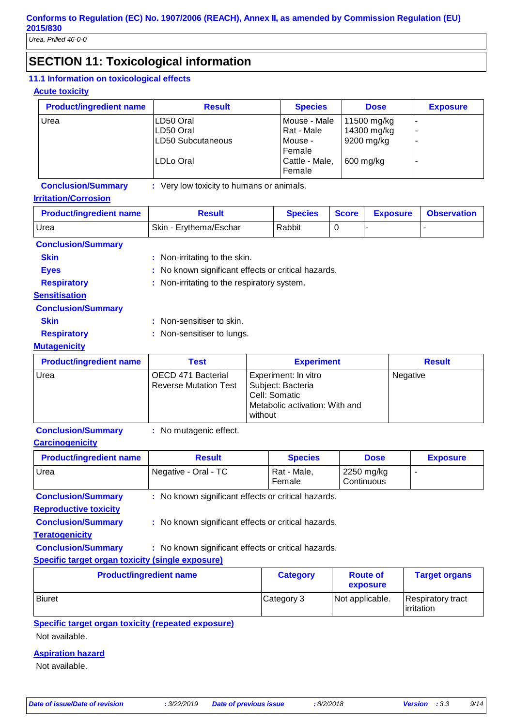# **SECTION 11: Toxicological information**

#### **11.1 Information on toxicological effects**

#### **Acute toxicity**

| <b>Product/ingredient name</b> | <b>Result</b>          | <b>Species</b>                     | <b>Dose</b>                | <b>Exposure</b>          |
|--------------------------------|------------------------|------------------------------------|----------------------------|--------------------------|
| Urea                           | LD50 Oral<br>LD50 Oral | Mouse - Male<br>Rat - Male         | 11500 mg/kg<br>14300 mg/kg | $\overline{\phantom{a}}$ |
|                                | LD50 Subcutaneous      | Mouse -                            | 9200 mg/kg                 | -                        |
|                                | ILDLo Oral             | Female<br>Cattle - Male,<br>Female | 600 mg/kg                  |                          |

### **Conclusion/Summary :** Very low toxicity to humans or animals.

#### **Irritation/Corrosion**

| <b>Product/ingredient name</b> | <b>Result</b>                 | <b>Species</b> | <b>Score</b> | <b>Exposure</b> | <b>Observation</b> |  |  |
|--------------------------------|-------------------------------|----------------|--------------|-----------------|--------------------|--|--|
| Urea<br>Skin - Erythema/Eschar |                               | Rabbit         |              |                 |                    |  |  |
| <b>Conclusion/Summary</b>      |                               |                |              |                 |                    |  |  |
| <b>Skin</b>                    | : Non-irritating to the skin. |                |              |                 |                    |  |  |

| Eves | : No known significant effects or critical hazards. |  |  |
|------|-----------------------------------------------------|--|--|
|      |                                                     |  |  |

**Respiratory** : Non-irritating to the respiratory system. **Sensitisation**

## **Conclusion/Summary**

| <b>Skin</b> | : Non-sensitiser to skin. |
|-------------|---------------------------|
|             |                           |

**Respiratory** : Non-sensitiser to lungs.

#### **Mutagenicity**

| <b>Product/ingredient name</b> | Test                                               | <b>Experiment</b>                                                                                       | <b>Result</b> |
|--------------------------------|----------------------------------------------------|---------------------------------------------------------------------------------------------------------|---------------|
| Urea                           | OECD 471 Bacterial<br><b>Reverse Mutation Test</b> | Experiment: In vitro<br>Subject: Bacteria<br>Cell: Somatic<br>Metabolic activation: With and<br>without | Negative      |

#### **Conclusion/Summary :** No mutagenic effect.

#### **Carcinogenicity**

| <b>Product/ingredient name</b>                   | <b>Result</b>                                       | <b>Species</b>        | <b>Dose</b>              | <b>Exposure</b> |
|--------------------------------------------------|-----------------------------------------------------|-----------------------|--------------------------|-----------------|
| Urea                                             | Negative - Oral - TC                                | Rat - Male,<br>Female | 2250 mg/kg<br>Continuous | -               |
| <b>Conclusion/Summary</b>                        | : No known significant effects or critical hazards. |                       |                          |                 |
| <b>Reproductive toxicity</b>                     |                                                     |                       |                          |                 |
| <b>Conclusion/Summary</b>                        | : No known significant effects or critical hazards. |                       |                          |                 |
| <b>Teratogenicity</b>                            |                                                     |                       |                          |                 |
| <b>Conclusion/Summary</b>                        | : No known significant effects or critical hazards. |                       |                          |                 |
| Specific target organ toxicity (single exposure) |                                                     |                       |                          |                 |

| <b>Product/ingredient name</b> | <b>Category</b> | <b>Route of</b><br>exposure | <b>Target organs</b>                    |
|--------------------------------|-----------------|-----------------------------|-----------------------------------------|
| <b>Biuret</b>                  | Category 3      | Not applicable.             | Respiratory tract<br><b>lirritation</b> |

#### **Specific target organ toxicity (repeated exposure)** Not available.

#### **Aspiration hazard**

Not available.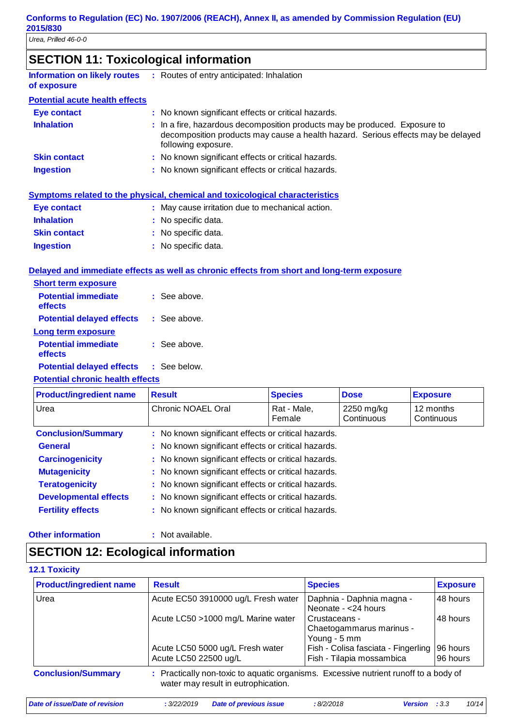# **SECTION 11: Toxicological information**

| <b>Information on likely routes</b><br>of exposure | : Routes of entry anticipated: Inhalation                                                                                                                                             |
|----------------------------------------------------|---------------------------------------------------------------------------------------------------------------------------------------------------------------------------------------|
| <b>Potential acute health effects</b>              |                                                                                                                                                                                       |
| <b>Eye contact</b>                                 | : No known significant effects or critical hazards.                                                                                                                                   |
| <b>Inhalation</b>                                  | : In a fire, hazardous decomposition products may be produced. Exposure to<br>decomposition products may cause a health hazard. Serious effects may be delayed<br>following exposure. |
| <b>Skin contact</b>                                | : No known significant effects or critical hazards.                                                                                                                                   |
| <b>Ingestion</b>                                   | : No known significant effects or critical hazards.                                                                                                                                   |

|                     | Symptoms related to the physical, chemical and toxicological characteristics |
|---------------------|------------------------------------------------------------------------------|
| Eye contact         | : May cause irritation due to mechanical action.                             |
| <b>Inhalation</b>   | : No specific data.                                                          |
| <b>Skin contact</b> | : No specific data.                                                          |
| <b>Ingestion</b>    | : No specific data.                                                          |

#### **Delayed and immediate effects as well as chronic effects from short and long-term exposure**

| <b>Short term exposure</b>            |                |
|---------------------------------------|----------------|
| <b>Potential immediate</b><br>effects | $:$ See above. |
| <b>Potential delayed effects</b>      | : See above.   |
| Long term exposure                    |                |
| <b>Potential immediate</b><br>effects | : See above.   |
| <b>Potential delayed effects</b>      | $:$ See below. |
|                                       |                |

#### **Potential chronic health effects**

| <b>Product/ingredient name</b> | <b>Result</b>                                       | <b>Species</b>                                      | <b>Dose</b>              | <b>Exposure</b>         |
|--------------------------------|-----------------------------------------------------|-----------------------------------------------------|--------------------------|-------------------------|
| Urea                           | Chronic NOAEL Oral                                  | Rat - Male,<br>Female                               | 2250 mg/kg<br>Continuous | 12 months<br>Continuous |
| <b>Conclusion/Summary</b>      |                                                     | : No known significant effects or critical hazards. |                          |                         |
| <b>General</b>                 | : No known significant effects or critical hazards. |                                                     |                          |                         |
| <b>Carcinogenicity</b>         | : No known significant effects or critical hazards. |                                                     |                          |                         |
| <b>Mutagenicity</b>            | : No known significant effects or critical hazards. |                                                     |                          |                         |
| <b>Teratogenicity</b>          | : No known significant effects or critical hazards. |                                                     |                          |                         |
| <b>Developmental effects</b>   | : No known significant effects or critical hazards. |                                                     |                          |                         |
| <b>Fertility effects</b>       | : No known significant effects or critical hazards. |                                                     |                          |                         |

#### **Other information :**

: Not available.

# **SECTION 12: Ecological information**

#### **12.1 Toxicity**

| <b>Product/ingredient name</b> | <b>Result</b>                                                                                                               | <b>Species</b>                                                   | <b>Exposure</b>      |
|--------------------------------|-----------------------------------------------------------------------------------------------------------------------------|------------------------------------------------------------------|----------------------|
| Urea                           | Acute EC50 3910000 ug/L Fresh water                                                                                         | Daphnia - Daphnia magna -<br>Neonate - < 24 hours                | 48 hours             |
|                                | Acute LC50 >1000 mg/L Marine water                                                                                          | Crustaceans -<br>Chaetogammarus marinus -<br>Young - 5 mm        | 48 hours             |
|                                | Acute LC50 5000 ug/L Fresh water<br>Acute LC50 22500 ug/L                                                                   | Fish - Colisa fasciata - Fingerling<br>Fish - Tilapia mossambica | 96 hours<br>96 hours |
| <b>Conclusion/Summary</b>      | : Practically non-toxic to aquatic organisms. Excessive nutrient runoff to a body of<br>water may result in eutrophication. |                                                                  |                      |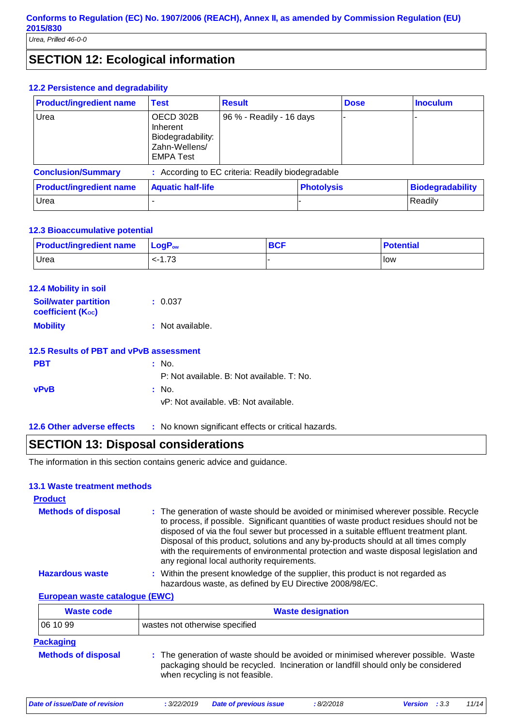# **SECTION 12: Ecological information**

#### **12.2 Persistence and degradability**

| <b>Product/ingredient name</b> | <b>Test</b>                                                                     | <b>Result</b>                                     |  | <b>Dose</b>       | <b>Inoculum</b>         |
|--------------------------------|---------------------------------------------------------------------------------|---------------------------------------------------|--|-------------------|-------------------------|
| Urea                           | OECD 302B<br>Inherent<br>Biodegradability:<br>Zahn-Wellens/<br><b>EMPA Test</b> | 96 % - Readily - 16 days                          |  |                   |                         |
| <b>Conclusion/Summary</b>      |                                                                                 | : According to EC criteria: Readily biodegradable |  |                   |                         |
| <b>Product/ingredient name</b> | <b>Aquatic half-life</b>                                                        |                                                   |  | <b>Photolysis</b> | <b>Biodegradability</b> |
| Urea                           |                                                                                 |                                                   |  |                   | Readily                 |

#### **12.3 Bioaccumulative potential**

| <b>Product/ingredient name</b> | $\mathsf{LogP}_\mathsf{ow}$ | <b>BCF</b> | <b>Potential</b> |
|--------------------------------|-----------------------------|------------|------------------|
| Urea                           | <-1.73                      |            | <b>I</b> low     |

| <b>12.4 Mobility in soil</b>                            |                  |
|---------------------------------------------------------|------------------|
| <b>Soil/water partition</b><br><b>coefficient (Koc)</b> | : 0.037          |
| <b>Mobility</b>                                         | : Not available. |
|                                                         |                  |

### **12.5 Results of PBT and vPvB assessment**

| <b>PBT</b>  | : No.                                      |
|-------------|--------------------------------------------|
|             | P: Not available. B: Not available. T: No. |
| <b>vPvB</b> | : No.                                      |
|             | vP: Not available. vB: Not available.      |
|             |                                            |

**12.6 Other adverse effects** : No known significant effects or critical hazards.

## **SECTION 13: Disposal considerations**

The information in this section contains generic advice and guidance.

#### **13.1 Waste treatment methods**

| <b>Product</b>                 |                                                                                                                                                                                                                                                                                                                                                                                                                                                                                                    |  |
|--------------------------------|----------------------------------------------------------------------------------------------------------------------------------------------------------------------------------------------------------------------------------------------------------------------------------------------------------------------------------------------------------------------------------------------------------------------------------------------------------------------------------------------------|--|
| <b>Methods of disposal</b>     | : The generation of waste should be avoided or minimised wherever possible. Recycle<br>to process, if possible. Significant quantities of waste product residues should not be<br>disposed of via the foul sewer but processed in a suitable effluent treatment plant.<br>Disposal of this product, solutions and any by-products should at all times comply<br>with the requirements of environmental protection and waste disposal legislation and<br>any regional local authority requirements. |  |
| <b>Hazardous waste</b>         | : Within the present knowledge of the supplier, this product is not regarded as<br>hazardous waste, as defined by EU Directive 2008/98/EC.                                                                                                                                                                                                                                                                                                                                                         |  |
| European waste catalogue (EWC) |                                                                                                                                                                                                                                                                                                                                                                                                                                                                                                    |  |

| <b>Waste code</b>          | <b>Waste designation</b>                                                                                                                                                                                 |
|----------------------------|----------------------------------------------------------------------------------------------------------------------------------------------------------------------------------------------------------|
| 06 10 99                   | wastes not otherwise specified                                                                                                                                                                           |
| <b>Packaging</b>           |                                                                                                                                                                                                          |
| <b>Methods of disposal</b> | : The generation of waste should be avoided or minimised wherever possible. Waste<br>packaging should be recycled. Incineration or landfill should only be considered<br>when recycling is not feasible. |

*Date of issue/Date of revision* **:** *3/22/2019 Date of previous issue : 8/2/2018 Version : 3.3 11/14*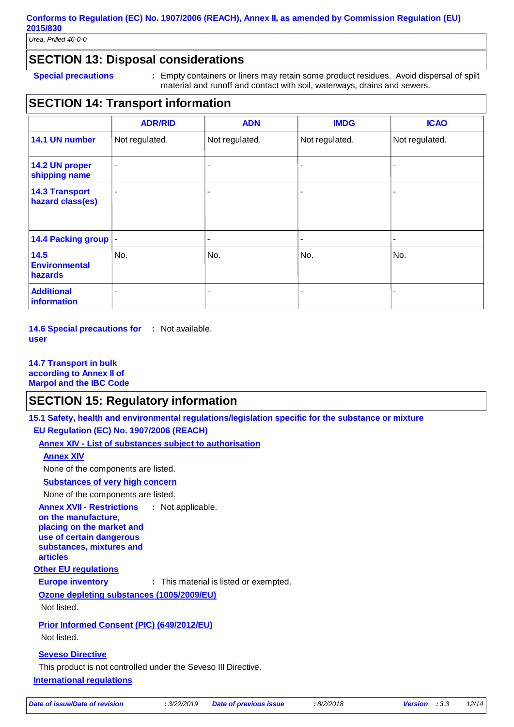*Urea, Prilled 46-0-0*

## **SECTION 13: Disposal considerations**

**Special precautions : Empty containers or liners may retain some product residues. Avoid dispersal of spilt** material and runoff and contact with soil, waterways, drains and sewers.

# **SECTION 14: Transport information**

|                                           | <b>ADR/RID</b> | <b>ADN</b>               | <b>IMDG</b>    | <b>ICAO</b>    |
|-------------------------------------------|----------------|--------------------------|----------------|----------------|
| 14.1 UN number                            | Not regulated. | Not regulated.           | Not regulated. | Not regulated. |
| 14.2 UN proper<br>shipping name           | $\blacksquare$ | $\overline{\phantom{a}}$ |                |                |
| <b>14.3 Transport</b><br>hazard class(es) | $\blacksquare$ | ٠                        |                |                |
| 14.4 Packing group                        |                |                          |                |                |
| 14.5<br><b>Environmental</b><br>hazards   | No.            | No.                      | No.            | No.            |
| <b>Additional</b><br>information          | ۰              | ٠                        |                | ۰              |

**14.6 Special precautions for :** Not available. **user**

#### **14.7 Transport in bulk according to Annex II of Marpol and the IBC Code**

## **SECTION 15: Regulatory information**

**15.1 Safety, health and environmental regulations/legislation specific for the substance or mixture**

**EU Regulation (EC) No. 1907/2006 (REACH)**

**Annex XIV - List of substances subject to authorisation**

## **Annex XIV**

None of the components are listed.

**Substances of very high concern**

None of the components are listed.

**Annex XVII - Restrictions on the manufacture, placing on the market and use of certain dangerous substances, mixtures and articles** : Not applicable.

#### **Other EU regulations**

**Europe inventory** : This material is listed or exempted.

**Ozone depleting substances (1005/2009/EU)**

Not listed.

#### **Prior Informed Consent (PIC) (649/2012/EU)**

Not listed.

#### **Seveso Directive**

This product is not controlled under the Seveso III Directive.

**International regulations**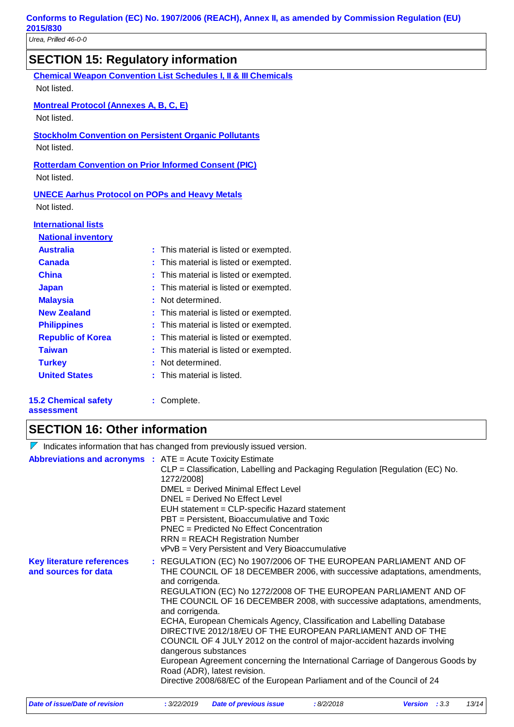| <b>SECTION 15: Regulatory information</b>                                  |  |
|----------------------------------------------------------------------------|--|
| <b>Chemical Weapon Convention List Schedules I, II &amp; III Chemicals</b> |  |

Not listed.

#### **Montreal Protocol (Annexes A, B, C, E)**

Not listed.

**Stockholm Convention on Persistent Organic Pollutants** Not listed.

**Rotterdam Convention on Prior Informed Consent (PIC)**

Not listed.

#### **UNECE Aarhus Protocol on POPs and Heavy Metals**

Not listed.

#### **International lists**

| <b>National inventory</b>  |                                        |
|----------------------------|----------------------------------------|
| <b>Australia</b>           | : This material is listed or exempted. |
| <b>Canada</b>              | : This material is listed or exempted. |
| <b>China</b>               | : This material is listed or exempted. |
| <b>Japan</b>               | : This material is listed or exempted. |
| <b>Malaysia</b>            | Not determined.                        |
| <b>New Zealand</b>         | : This material is listed or exempted. |
| <b>Philippines</b>         | : This material is listed or exempted. |
| <b>Republic of Korea</b>   | : This material is listed or exempted. |
| <b>Taiwan</b>              | : This material is listed or exempted. |
| <b>Turkey</b>              | : Not determined.                      |
| <b>United States</b>       | : This material is listed.             |
| <b>5.2 Chemical safety</b> | Complete.                              |

#### **15.2 Chemical safety assessment**

# **SECTION 16: Other information**

|                                                                   | $\sqrt{\ }$ Indicates information that has changed from previously issued version.                                                                                                                                                                                                                                                                                                                                                                                                                                                                                                                                                                                                                                                                                            |
|-------------------------------------------------------------------|-------------------------------------------------------------------------------------------------------------------------------------------------------------------------------------------------------------------------------------------------------------------------------------------------------------------------------------------------------------------------------------------------------------------------------------------------------------------------------------------------------------------------------------------------------------------------------------------------------------------------------------------------------------------------------------------------------------------------------------------------------------------------------|
| <b>Abbreviations and acronyms : ATE = Acute Toxicity Estimate</b> | CLP = Classification, Labelling and Packaging Regulation [Regulation (EC) No.<br>1272/2008]<br>DMEL = Derived Minimal Effect Level<br>DNEL = Derived No Effect Level<br>EUH statement = CLP-specific Hazard statement<br>PBT = Persistent, Bioaccumulative and Toxic<br>PNEC = Predicted No Effect Concentration<br><b>RRN</b> = REACH Registration Number<br>vPvB = Very Persistent and Very Bioaccumulative                                                                                                                                                                                                                                                                                                                                                                 |
| <b>Key literature references</b><br>and sources for data          | : REGULATION (EC) No 1907/2006 OF THE EUROPEAN PARLIAMENT AND OF<br>THE COUNCIL OF 18 DECEMBER 2006, with successive adaptations, amendments,<br>and corrigenda.<br>REGULATION (EC) No 1272/2008 OF THE EUROPEAN PARLIAMENT AND OF<br>THE COUNCIL OF 16 DECEMBER 2008, with successive adaptations, amendments,<br>and corrigenda.<br>ECHA, European Chemicals Agency, Classification and Labelling Database<br>DIRECTIVE 2012/18/EU OF THE EUROPEAN PARLIAMENT AND OF THE<br>COUNCIL OF 4 JULY 2012 on the control of major-accident hazards involving<br>dangerous substances<br>European Agreement concerning the International Carriage of Dangerous Goods by<br>Road (ADR), latest revision.<br>Directive 2008/68/EC of the European Parliament and of the Council of 24 |